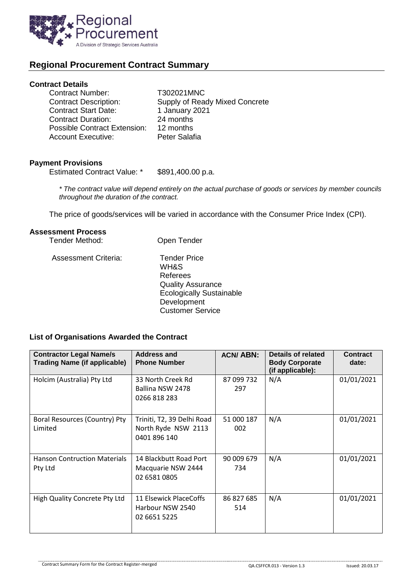

# **Regional Procurement Contract Summary**

#### **Contract Details**

| <b>Contract Number:</b>      | T302021MNC                     |
|------------------------------|--------------------------------|
| <b>Contract Description:</b> | Supply of Ready Mixed Concrete |
| <b>Contract Start Date:</b>  | 1 January 2021                 |
| <b>Contract Duration:</b>    | 24 months                      |
| Possible Contract Extension: | 12 months                      |
| <b>Account Executive:</b>    | Peter Salafia                  |

### **Payment Provisions**

Estimated Contract Value: \* \$891,400.00 p.a.

*\* The contract value will depend entirely on the actual purchase of goods or services by member councils throughout the duration of the contract.*

The price of goods/services will be varied in accordance with the Consumer Price Index (CPI).

## **Assessment Process**

| Tender Method:              | Open Tender                                                                                                                                      |
|-----------------------------|--------------------------------------------------------------------------------------------------------------------------------------------------|
| <b>Assessment Criteria:</b> | <b>Tender Price</b><br>WH&S<br>Referees<br><b>Quality Assurance</b><br><b>Ecologically Sustainable</b><br>Development<br><b>Customer Service</b> |

## **List of Organisations Awarded the Contract**

| <b>Contractor Legal Name/s</b><br><b>Trading Name (if applicable)</b> | <b>Address and</b><br><b>Phone Number</b>                         | <b>ACN/ABN:</b>   | Details of related<br><b>Body Corporate</b><br>(if applicable): | <b>Contract</b><br>date: |
|-----------------------------------------------------------------------|-------------------------------------------------------------------|-------------------|-----------------------------------------------------------------|--------------------------|
| Holcim (Australia) Pty Ltd                                            | 33 North Creek Rd<br>Ballina NSW 2478<br>0266 818 283             | 87 099 732<br>297 | N/A                                                             | 01/01/2021               |
| Boral Resources (Country) Pty<br>Limited                              | Triniti, T2, 39 Delhi Road<br>North Ryde NSW 2113<br>0401 896 140 | 51 000 187<br>002 | N/A                                                             | 01/01/2021               |
| <b>Hanson Contruction Materials</b><br>Pty Ltd                        | 14 Blackbutt Road Port<br>Macquarie NSW 2444<br>02 6581 0805      | 90 009 679<br>734 | N/A                                                             | 01/01/2021               |
| High Quality Concrete Pty Ltd                                         | 11 Elsewick PlaceCoffs<br>Harbour NSW 2540<br>02 6651 5225        | 86 827 685<br>514 | N/A                                                             | 01/01/2021               |